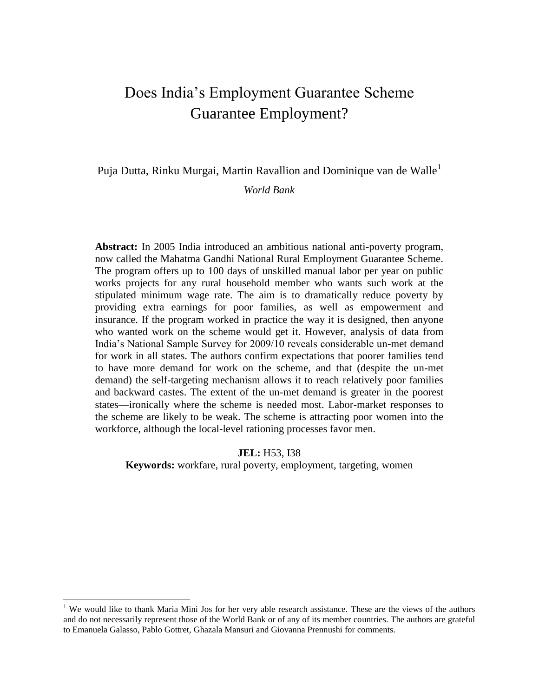# Does India's Employment Guarantee Scheme Guarantee Employment?

Puja Dutta, Rinku Murgai, Martin Ravallion and Dominique van de Walle<sup>1</sup>

#### *World Bank*

**Abstract:** In 2005 India introduced an ambitious national anti-poverty program, now called the Mahatma Gandhi National Rural Employment Guarantee Scheme. The program offers up to 100 days of unskilled manual labor per year on public works projects for any rural household member who wants such work at the stipulated minimum wage rate. The aim is to dramatically reduce poverty by providing extra earnings for poor families, as well as empowerment and insurance. If the program worked in practice the way it is designed, then anyone who wanted work on the scheme would get it. However, analysis of data from India's National Sample Survey for 2009/10 reveals considerable un-met demand for work in all states. The authors confirm expectations that poorer families tend to have more demand for work on the scheme, and that (despite the un-met demand) the self-targeting mechanism allows it to reach relatively poor families and backward castes. The extent of the un-met demand is greater in the poorest states—ironically where the scheme is needed most. Labor-market responses to the scheme are likely to be weak. The scheme is attracting poor women into the workforce, although the local-level rationing processes favor men.

**JEL:** H53, I38 **Keywords:** workfare, rural poverty, employment, targeting, women

<sup>&</sup>lt;sup>1</sup> We would like to thank Maria Mini Jos for her very able research assistance. These are the views of the authors and do not necessarily represent those of the World Bank or of any of its member countries. The authors are grateful to Emanuela Galasso, Pablo Gottret, Ghazala Mansuri and Giovanna Prennushi for comments.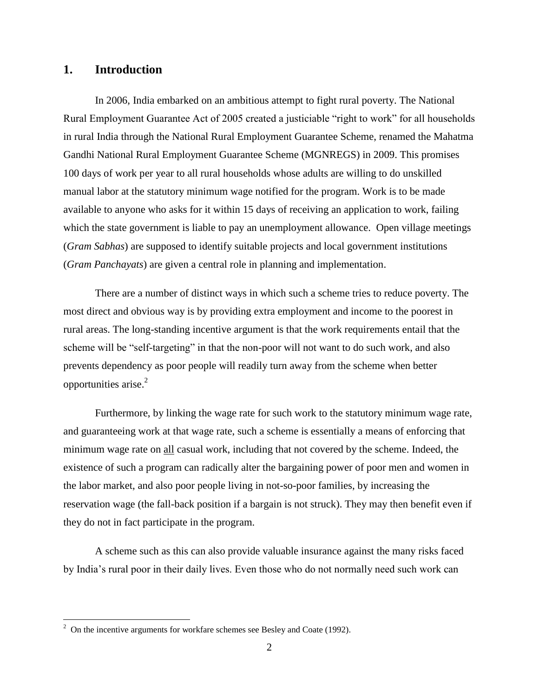# **1. Introduction**

In 2006, India embarked on an ambitious attempt to fight rural poverty. The National Rural Employment Guarantee Act of 2005 created a justiciable "right to work" for all households in rural India through the National Rural Employment Guarantee Scheme, renamed the Mahatma Gandhi National Rural Employment Guarantee Scheme (MGNREGS) in 2009. This promises 100 days of work per year to all rural households whose adults are willing to do unskilled manual labor at the statutory minimum wage notified for the program. Work is to be made available to anyone who asks for it within 15 days of receiving an application to work, failing which the state government is liable to pay an unemployment allowance. Open village meetings (*Gram Sabhas*) are supposed to identify suitable projects and local government institutions (*Gram Panchayats*) are given a central role in planning and implementation.

There are a number of distinct ways in which such a scheme tries to reduce poverty. The most direct and obvious way is by providing extra employment and income to the poorest in rural areas. The long-standing incentive argument is that the work requirements entail that the scheme will be "self-targeting" in that the non-poor will not want to do such work, and also prevents dependency as poor people will readily turn away from the scheme when better opportunities arise. $2$ 

Furthermore, by linking the wage rate for such work to the statutory minimum wage rate, and guaranteeing work at that wage rate, such a scheme is essentially a means of enforcing that minimum wage rate on all casual work, including that not covered by the scheme. Indeed, the existence of such a program can radically alter the bargaining power of poor men and women in the labor market, and also poor people living in not-so-poor families, by increasing the reservation wage (the fall-back position if a bargain is not struck). They may then benefit even if they do not in fact participate in the program.

A scheme such as this can also provide valuable insurance against the many risks faced by India's rural poor in their daily lives. Even those who do not normally need such work can

 $2^2$  On the incentive arguments for workfare schemes see Besley and Coate (1992).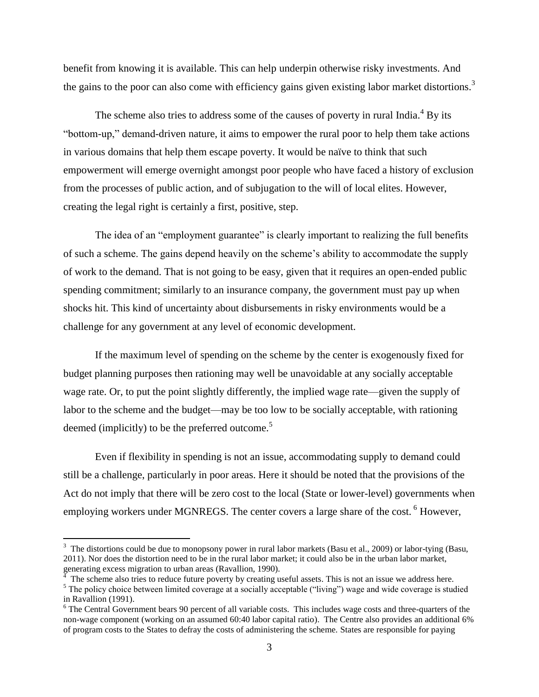benefit from knowing it is available. This can help underpin otherwise risky investments. And the gains to the poor can also come with efficiency gains given existing labor market distortions.<sup>3</sup>

The scheme also tries to address some of the causes of poverty in rural India.<sup>4</sup> By its "bottom-up," demand-driven nature, it aims to empower the rural poor to help them take actions in various domains that help them escape poverty. It would be naïve to think that such empowerment will emerge overnight amongst poor people who have faced a history of exclusion from the processes of public action, and of subjugation to the will of local elites. However, creating the legal right is certainly a first, positive, step.

The idea of an "employment guarantee" is clearly important to realizing the full benefits of such a scheme. The gains depend heavily on the scheme's ability to accommodate the supply of work to the demand. That is not going to be easy, given that it requires an open-ended public spending commitment; similarly to an insurance company, the government must pay up when shocks hit. This kind of uncertainty about disbursements in risky environments would be a challenge for any government at any level of economic development.

If the maximum level of spending on the scheme by the center is exogenously fixed for budget planning purposes then rationing may well be unavoidable at any socially acceptable wage rate. Or, to put the point slightly differently, the implied wage rate—given the supply of labor to the scheme and the budget—may be too low to be socially acceptable, with rationing deemed (implicitly) to be the preferred outcome. $5$ 

Even if flexibility in spending is not an issue, accommodating supply to demand could still be a challenge, particularly in poor areas. Here it should be noted that the provisions of the Act do not imply that there will be zero cost to the local (State or lower-level) governments when employing workers under MGNREGS. The center covers a large share of the cost. <sup>6</sup> However,

 $3$  The distortions could be due to monopsony power in rural labor markets (Basu et al., 2009) or labor-tying (Basu, 2011). Nor does the distortion need to be in the rural labor market; it could also be in the urban labor market, generating excess migration to urban areas (Ravallion, 1990).

The scheme also tries to reduce future poverty by creating useful assets. This is not an issue we address here.

<sup>&</sup>lt;sup>5</sup> The policy choice between limited coverage at a socially acceptable ("living") wage and wide coverage is studied in Ravallion (1991).

<sup>&</sup>lt;sup>6</sup> The Central Government bears 90 percent of all variable costs. This includes wage costs and three-quarters of the non-wage component (working on an assumed 60:40 labor capital ratio). The Centre also provides an additional 6% of program costs to the States to defray the costs of administering the scheme. States are responsible for paying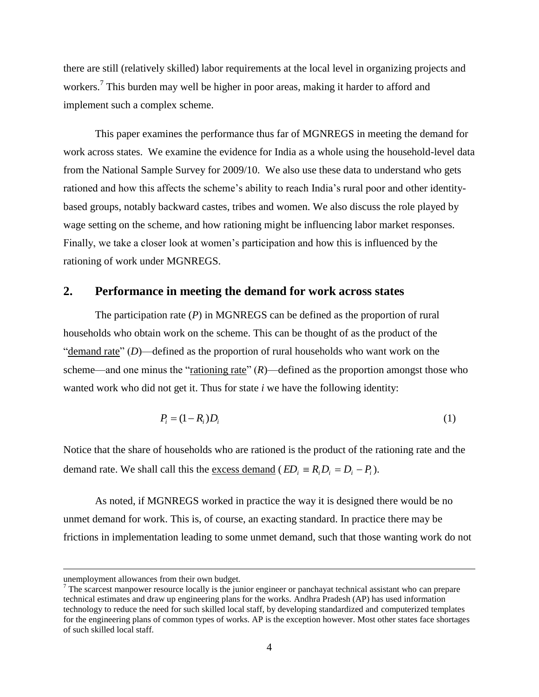there are still (relatively skilled) labor requirements at the local level in organizing projects and workers.<sup>7</sup> This burden may well be higher in poor areas, making it harder to afford and implement such a complex scheme.

This paper examines the performance thus far of MGNREGS in meeting the demand for work across states. We examine the evidence for India as a whole using the household-level data from the National Sample Survey for 2009/10. We also use these data to understand who gets rationed and how this affects the scheme's ability to reach India's rural poor and other identitybased groups, notably backward castes, tribes and women. We also discuss the role played by wage setting on the scheme, and how rationing might be influencing labor market responses. Finally, we take a closer look at women's participation and how this is influenced by the rationing of work under MGNREGS.

#### **2. Performance in meeting the demand for work across states**

The participation rate (*P*) in MGNREGS can be defined as the proportion of rural households who obtain work on the scheme. This can be thought of as the product of the " $d$  demand rate" (*D*)—defined as the proportion of rural households who want work on the scheme—and one minus the "<u>rationing rate</u>"  $(R)$ —defined as the proportion amongst those who wanted work who did not get it. Thus for state *i* we have the following identity:

$$
P_i = (1 - R_i)D_i \tag{1}
$$

Notice that the share of households who are rationed is the product of the rationing rate and the demand rate. We shall call this the <u>excess demand</u> ( $ED_i = R_i D_i - P_i$ ).

As noted, if MGNREGS worked in practice the way it is designed there would be no unmet demand for work. This is, of course, an exacting standard. In practice there may be frictions in implementation leading to some unmet demand, such that those wanting work do not

unemployment allowances from their own budget.

 $<sup>7</sup>$  The scarcest manpower resource locally is the junior engineer or panchayat technical assistant who can prepare</sup> technical estimates and draw up engineering plans for the works. Andhra Pradesh (AP) has used information technology to reduce the need for such skilled local staff, by developing standardized and computerized templates for the engineering plans of common types of works. AP is the exception however. Most other states face shortages of such skilled local staff.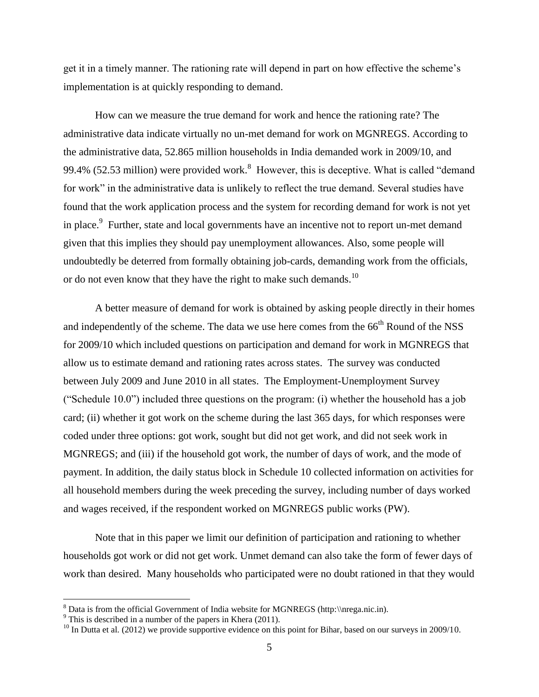get it in a timely manner. The rationing rate will depend in part on how effective the scheme's implementation is at quickly responding to demand.

How can we measure the true demand for work and hence the rationing rate? The administrative data indicate virtually no un-met demand for work on MGNREGS. According to the administrative data, 52.865 million households in India demanded work in 2009/10, and 99.4% (52.53 million) were provided work.<sup>8</sup> However, this is deceptive. What is called "demand" for work" in the administrative data is unlikely to reflect the true demand. Several studies have found that the work application process and the system for recording demand for work is not yet in place. $9$  Further, state and local governments have an incentive not to report un-met demand given that this implies they should pay unemployment allowances. Also, some people will undoubtedly be deterred from formally obtaining job-cards, demanding work from the officials, or do not even know that they have the right to make such demands.<sup>10</sup>

A better measure of demand for work is obtained by asking people directly in their homes and independently of the scheme. The data we use here comes from the  $66<sup>th</sup>$  Round of the NSS for 2009/10 which included questions on participation and demand for work in MGNREGS that allow us to estimate demand and rationing rates across states. The survey was conducted between July 2009 and June 2010 in all states. The Employment-Unemployment Survey ("Schedule  $10.0$ ") included three questions on the program: (i) whether the household has a job card; (ii) whether it got work on the scheme during the last 365 days, for which responses were coded under three options: got work, sought but did not get work, and did not seek work in MGNREGS; and (iii) if the household got work, the number of days of work, and the mode of payment. In addition, the daily status block in Schedule 10 collected information on activities for all household members during the week preceding the survey, including number of days worked and wages received, if the respondent worked on MGNREGS public works (PW).

Note that in this paper we limit our definition of participation and rationing to whether households got work or did not get work. Unmet demand can also take the form of fewer days of work than desired. Many households who participated were no doubt rationed in that they would

 $8$  Data is from the official Government of India website for MGNREGS (http:\\nrega.nic.in).

 $9$  This is described in a number of the papers in Khera (2011).

<sup>&</sup>lt;sup>10</sup> In Dutta et al. (2012) we provide supportive evidence on this point for Bihar, based on our surveys in 2009/10.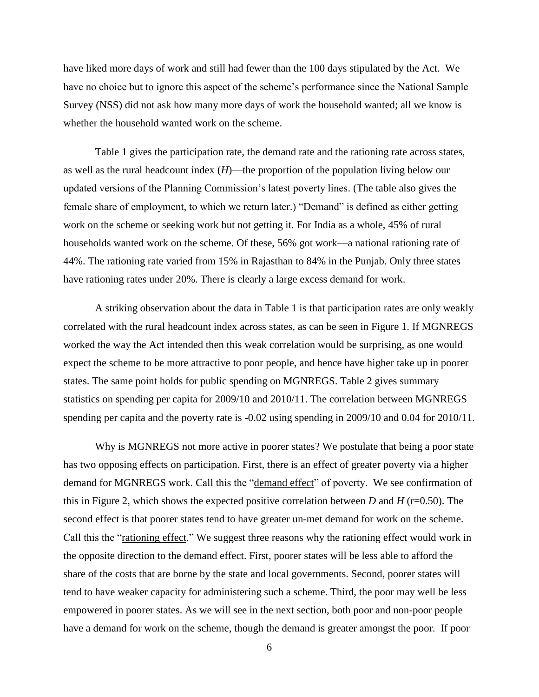have liked more days of work and still had fewer than the 100 days stipulated by the Act. We have no choice but to ignore this aspect of the scheme's performance since the National Sample Survey (NSS) did not ask how many more days of work the household wanted; all we know is whether the household wanted work on the scheme.

Table 1 gives the participation rate, the demand rate and the rationing rate across states, as well as the rural headcount index (*H*)—the proportion of the population living below our updated versions of the Planning Commission's latest poverty lines. (The table also gives the female share of employment, to which we return later.) "Demand" is defined as either getting work on the scheme or seeking work but not getting it. For India as a whole, 45% of rural households wanted work on the scheme. Of these, 56% got work—a national rationing rate of 44%. The rationing rate varied from 15% in Rajasthan to 84% in the Punjab. Only three states have rationing rates under 20%. There is clearly a large excess demand for work.

A striking observation about the data in Table 1 is that participation rates are only weakly correlated with the rural headcount index across states, as can be seen in Figure 1. If MGNREGS worked the way the Act intended then this weak correlation would be surprising, as one would expect the scheme to be more attractive to poor people, and hence have higher take up in poorer states. The same point holds for public spending on MGNREGS. Table 2 gives summary statistics on spending per capita for 2009/10 and 2010/11. The correlation between MGNREGS spending per capita and the poverty rate is -0.02 using spending in 2009/10 and 0.04 for 2010/11.

Why is MGNREGS not more active in poorer states? We postulate that being a poor state has two opposing effects on participation. First, there is an effect of greater poverty via a higher demand for MGNREGS work. Call this the "demand effect" of poverty. We see confirmation of this in Figure 2, which shows the expected positive correlation between *D* and *H* ( $r=0.50$ ). The second effect is that poorer states tend to have greater un-met demand for work on the scheme. Call this the "rationing effect." We suggest three reasons why the rationing effect would work in the opposite direction to the demand effect. First, poorer states will be less able to afford the share of the costs that are borne by the state and local governments. Second, poorer states will tend to have weaker capacity for administering such a scheme. Third, the poor may well be less empowered in poorer states. As we will see in the next section, both poor and non-poor people have a demand for work on the scheme, though the demand is greater amongst the poor. If poor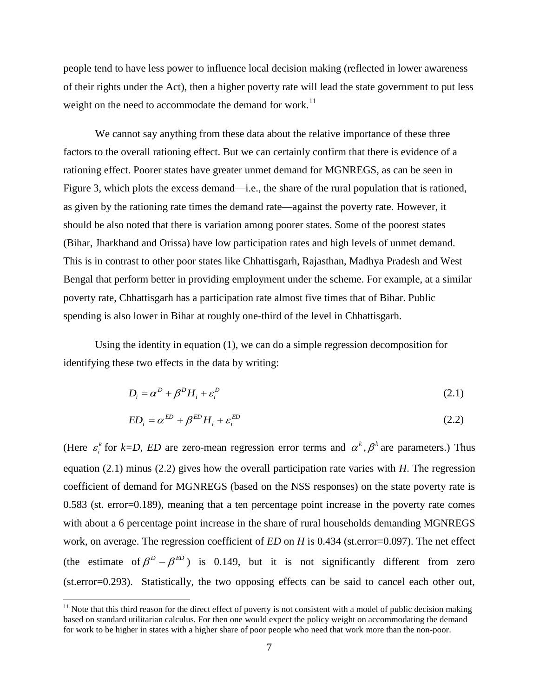people tend to have less power to influence local decision making (reflected in lower awareness of their rights under the Act), then a higher poverty rate will lead the state government to put less weight on the need to accommodate the demand for work.<sup>11</sup>

We cannot say anything from these data about the relative importance of these three factors to the overall rationing effect. But we can certainly confirm that there is evidence of a rationing effect. Poorer states have greater unmet demand for MGNREGS, as can be seen in Figure 3, which plots the excess demand—i.e., the share of the rural population that is rationed, as given by the rationing rate times the demand rate—against the poverty rate. However, it should be also noted that there is variation among poorer states. Some of the poorest states (Bihar, Jharkhand and Orissa) have low participation rates and high levels of unmet demand. This is in contrast to other poor states like Chhattisgarh, Rajasthan, Madhya Pradesh and West Bengal that perform better in providing employment under the scheme. For example, at a similar poverty rate, Chhattisgarh has a participation rate almost five times that of Bihar. Public spending is also lower in Bihar at roughly one-third of the level in Chhattisgarh.

Using the identity in equation (1), we can do a simple regression decomposition for identifying these two effects in the data by writing:

$$
D_i = \alpha^D + \beta^D H_i + \varepsilon_i^D \tag{2.1}
$$

$$
ED_i = \alpha^{ED} + \beta^{ED} H_i + \varepsilon_i^{ED}
$$
\n
$$
(2.2)
$$

(Here  $\varepsilon_i^k$  $\varepsilon_i^k$  for  $k=D$ , *ED* are zero-mean regression error terms and  $\alpha^k$ ,  $\beta^k$  are parameters.) Thus equation (2.1) minus (2.2) gives how the overall participation rate varies with *H*. The regression coefficient of demand for MGNREGS (based on the NSS responses) on the state poverty rate is 0.583 (st. error=0.189), meaning that a ten percentage point increase in the poverty rate comes with about a 6 percentage point increase in the share of rural households demanding MGNREGS work, on average. The regression coefficient of *ED* on *H* is 0.434 (st.error=0.097). The net effect (the estimate of  $\beta^D - \beta^{ED}$ ) is 0.149, but it is not significantly different from zero (st.error=0.293). Statistically, the two opposing effects can be said to cancel each other out,

 $11$  Note that this third reason for the direct effect of poverty is not consistent with a model of public decision making based on standard utilitarian calculus. For then one would expect the policy weight on accommodating the demand for work to be higher in states with a higher share of poor people who need that work more than the non-poor.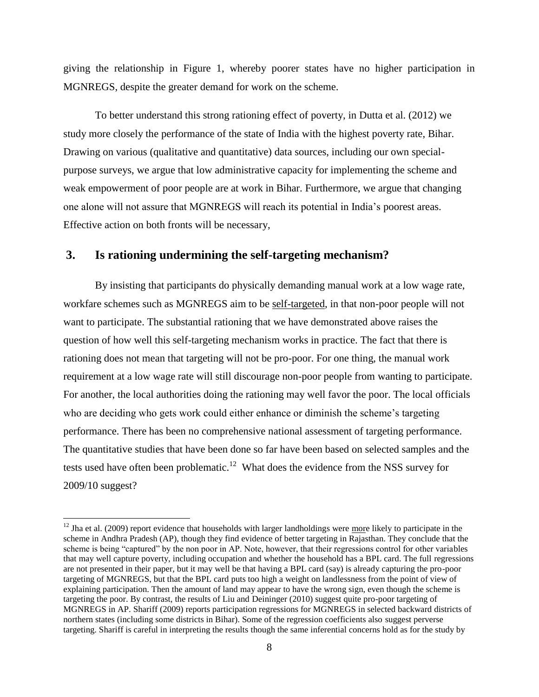giving the relationship in Figure 1, whereby poorer states have no higher participation in MGNREGS, despite the greater demand for work on the scheme.

To better understand this strong rationing effect of poverty, in Dutta et al. (2012) we study more closely the performance of the state of India with the highest poverty rate, Bihar. Drawing on various (qualitative and quantitative) data sources, including our own specialpurpose surveys, we argue that low administrative capacity for implementing the scheme and weak empowerment of poor people are at work in Bihar. Furthermore, we argue that changing one alone will not assure that MGNREGS will reach its potential in India's poorest areas. Effective action on both fronts will be necessary,

### **3. Is rationing undermining the self-targeting mechanism?**

 $\overline{a}$ 

By insisting that participants do physically demanding manual work at a low wage rate, workfare schemes such as MGNREGS aim to be self-targeted, in that non-poor people will not want to participate. The substantial rationing that we have demonstrated above raises the question of how well this self-targeting mechanism works in practice. The fact that there is rationing does not mean that targeting will not be pro-poor. For one thing, the manual work requirement at a low wage rate will still discourage non-poor people from wanting to participate. For another, the local authorities doing the rationing may well favor the poor. The local officials who are deciding who gets work could either enhance or diminish the scheme's targeting performance. There has been no comprehensive national assessment of targeting performance. The quantitative studies that have been done so far have been based on selected samples and the tests used have often been problematic.<sup>12</sup> What does the evidence from the NSS survey for 2009/10 suggest?

 $12$  Jha et al. (2009) report evidence that households with larger landholdings were more likely to participate in the scheme in Andhra Pradesh (AP), though they find evidence of better targeting in Rajasthan. They conclude that the scheme is being "captured" by the non poor in AP. Note, however, that their regressions control for other variables that may well capture poverty, including occupation and whether the household has a BPL card. The full regressions are not presented in their paper, but it may well be that having a BPL card (say) is already capturing the pro-poor targeting of MGNREGS, but that the BPL card puts too high a weight on landlessness from the point of view of explaining participation. Then the amount of land may appear to have the wrong sign, even though the scheme is targeting the poor. By contrast, the results of Liu and Deininger (2010) suggest quite pro-poor targeting of MGNREGS in AP. Shariff (2009) reports participation regressions for MGNREGS in selected backward districts of northern states (including some districts in Bihar). Some of the regression coefficients also suggest perverse targeting. Shariff is careful in interpreting the results though the same inferential concerns hold as for the study by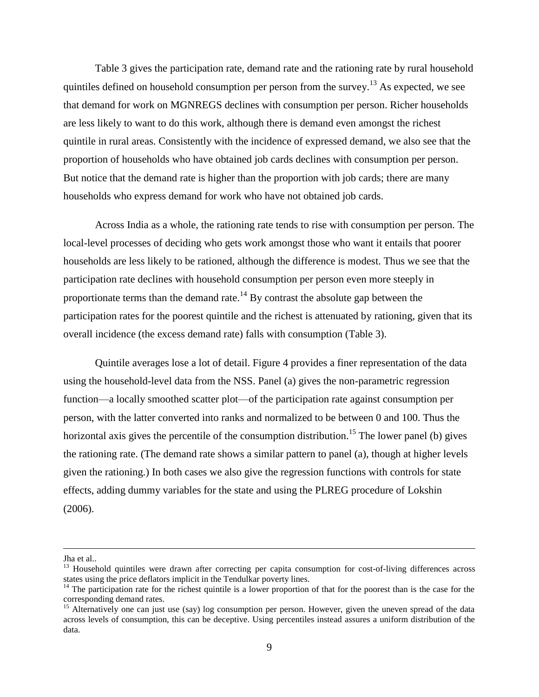Table 3 gives the participation rate, demand rate and the rationing rate by rural household quintiles defined on household consumption per person from the survey.<sup>13</sup> As expected, we see that demand for work on MGNREGS declines with consumption per person. Richer households are less likely to want to do this work, although there is demand even amongst the richest quintile in rural areas. Consistently with the incidence of expressed demand, we also see that the proportion of households who have obtained job cards declines with consumption per person. But notice that the demand rate is higher than the proportion with job cards; there are many households who express demand for work who have not obtained job cards.

Across India as a whole, the rationing rate tends to rise with consumption per person. The local-level processes of deciding who gets work amongst those who want it entails that poorer households are less likely to be rationed, although the difference is modest. Thus we see that the participation rate declines with household consumption per person even more steeply in proportionate terms than the demand rate.<sup>14</sup> By contrast the absolute gap between the participation rates for the poorest quintile and the richest is attenuated by rationing, given that its overall incidence (the excess demand rate) falls with consumption (Table 3).

Quintile averages lose a lot of detail. Figure 4 provides a finer representation of the data using the household-level data from the NSS. Panel (a) gives the non-parametric regression function—a locally smoothed scatter plot—of the participation rate against consumption per person, with the latter converted into ranks and normalized to be between 0 and 100. Thus the horizontal axis gives the percentile of the consumption distribution.<sup>15</sup> The lower panel (b) gives the rationing rate. (The demand rate shows a similar pattern to panel (a), though at higher levels given the rationing.) In both cases we also give the regression functions with controls for state effects, adding dummy variables for the state and using the PLREG procedure of Lokshin (2006).

Jha et al..

<sup>&</sup>lt;sup>13</sup> Household quintiles were drawn after correcting per capita consumption for cost-of-living differences across states using the price deflators implicit in the Tendulkar poverty lines.

 $14$  The participation rate for the richest quintile is a lower proportion of that for the poorest than is the case for the corresponding demand rates.

<sup>&</sup>lt;sup>15</sup> Alternatively one can just use (say) log consumption per person. However, given the uneven spread of the data across levels of consumption, this can be deceptive. Using percentiles instead assures a uniform distribution of the data.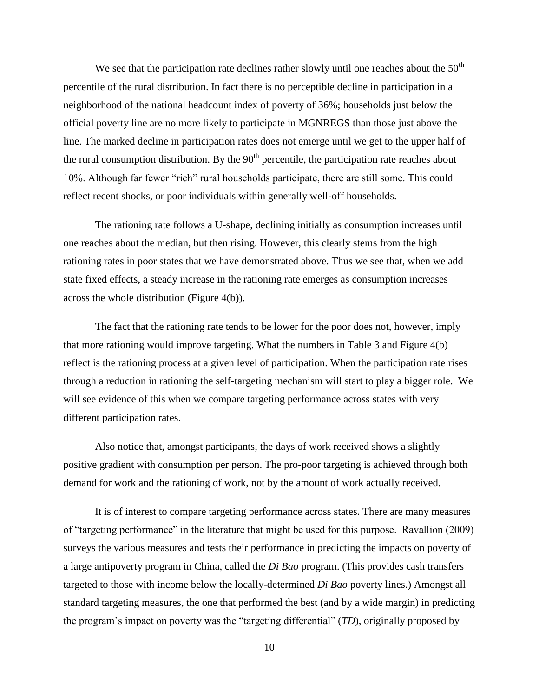We see that the participation rate declines rather slowly until one reaches about the  $50<sup>th</sup>$ percentile of the rural distribution. In fact there is no perceptible decline in participation in a neighborhood of the national headcount index of poverty of 36%; households just below the official poverty line are no more likely to participate in MGNREGS than those just above the line. The marked decline in participation rates does not emerge until we get to the upper half of the rural consumption distribution. By the  $90<sup>th</sup>$  percentile, the participation rate reaches about 10%. Although far fewer "rich" rural households participate, there are still some. This could reflect recent shocks, or poor individuals within generally well-off households.

The rationing rate follows a U-shape, declining initially as consumption increases until one reaches about the median, but then rising. However, this clearly stems from the high rationing rates in poor states that we have demonstrated above. Thus we see that, when we add state fixed effects, a steady increase in the rationing rate emerges as consumption increases across the whole distribution (Figure 4(b)).

The fact that the rationing rate tends to be lower for the poor does not, however, imply that more rationing would improve targeting. What the numbers in Table 3 and Figure 4(b) reflect is the rationing process at a given level of participation. When the participation rate rises through a reduction in rationing the self-targeting mechanism will start to play a bigger role. We will see evidence of this when we compare targeting performance across states with very different participation rates.

Also notice that, amongst participants, the days of work received shows a slightly positive gradient with consumption per person. The pro-poor targeting is achieved through both demand for work and the rationing of work, not by the amount of work actually received.

It is of interest to compare targeting performance across states. There are many measures of "targeting performance" in the literature that might be used for this purpose. Ravallion (2009) surveys the various measures and tests their performance in predicting the impacts on poverty of a large antipoverty program in China, called the *Di Bao* program. (This provides cash transfers targeted to those with income below the locally-determined *Di Bao* poverty lines.) Amongst all standard targeting measures, the one that performed the best (and by a wide margin) in predicting the program's impact on poverty was the "targeting differential" (*TD*), originally proposed by

10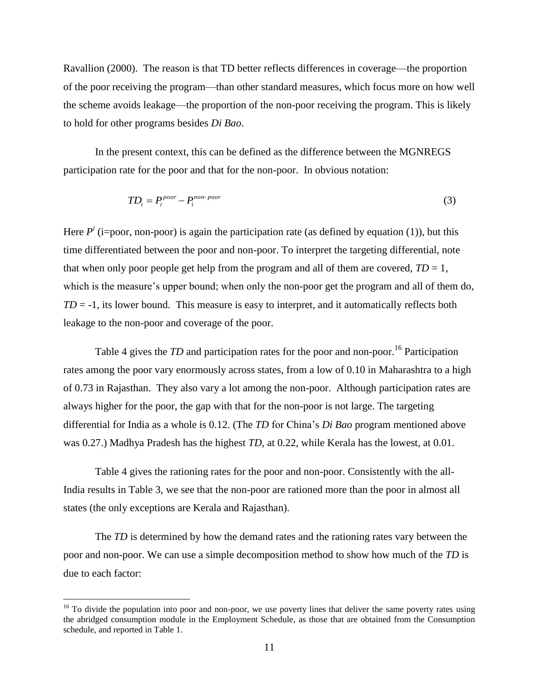Ravallion (2000). The reason is that TD better reflects differences in coverage—the proportion of the poor receiving the program—than other standard measures, which focus more on how well the scheme avoids leakage—the proportion of the non-poor receiving the program. This is likely to hold for other programs besides *Di Bao*.

In the present context, this can be defined as the difference between the MGNREGS participation rate for the poor and that for the non-poor. In obvious notation:

$$
TD_i = P_i^{poor} - P_i^{non-poor}
$$
 (3)

Here  $P^i$  (i=poor, non-poor) is again the participation rate (as defined by equation (1)), but this time differentiated between the poor and non-poor. To interpret the targeting differential, note that when only poor people get help from the program and all of them are covered,  $TD = 1$ , which is the measure's upper bound; when only the non-poor get the program and all of them do,  $TD = -1$ , its lower bound. This measure is easy to interpret, and it automatically reflects both leakage to the non-poor and coverage of the poor.

Table 4 gives the *TD* and participation rates for the poor and non-poor.<sup>16</sup> Participation rates among the poor vary enormously across states, from a low of 0.10 in Maharashtra to a high of 0.73 in Rajasthan. They also vary a lot among the non-poor. Although participation rates are always higher for the poor, the gap with that for the non-poor is not large. The targeting differential for India as a whole is 0.12. (The *TD* for China's *Di Bao* program mentioned above was 0.27.) Madhya Pradesh has the highest *TD*, at 0.22, while Kerala has the lowest, at 0.01.

Table 4 gives the rationing rates for the poor and non-poor. Consistently with the all-India results in Table 3, we see that the non-poor are rationed more than the poor in almost all states (the only exceptions are Kerala and Rajasthan).

The *TD* is determined by how the demand rates and the rationing rates vary between the poor and non-poor. We can use a simple decomposition method to show how much of the *TD* is due to each factor:

<sup>&</sup>lt;sup>16</sup> To divide the population into poor and non-poor, we use poverty lines that deliver the same poverty rates using the abridged consumption module in the Employment Schedule, as those that are obtained from the Consumption schedule, and reported in Table 1.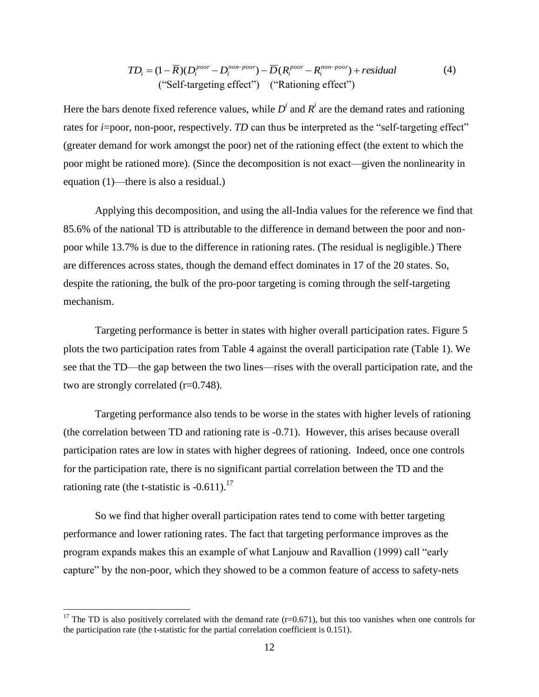$$
TD_i = (1 - \overline{R})(D_i^{poor} - D_i^{non-poor}) - \overline{D}(R_i^{poor} - R_i^{non-poor}) + residual
$$
  
("Self-targeting effect") ("Rationing effect") (

Here the bars denote fixed reference values, while  $D^i$  and  $R^i$  are the demand rates and rationing rates for  $i=$ poor, non-poor, respectively. *TD* can thus be interpreted as the "self-targeting effect" (greater demand for work amongst the poor) net of the rationing effect (the extent to which the poor might be rationed more). (Since the decomposition is not exact—given the nonlinearity in equation (1)—there is also a residual.)

Applying this decomposition, and using the all-India values for the reference we find that 85.6% of the national TD is attributable to the difference in demand between the poor and nonpoor while 13.7% is due to the difference in rationing rates. (The residual is negligible.) There are differences across states, though the demand effect dominates in 17 of the 20 states. So, despite the rationing, the bulk of the pro-poor targeting is coming through the self-targeting mechanism.

Targeting performance is better in states with higher overall participation rates. Figure 5 plots the two participation rates from Table 4 against the overall participation rate (Table 1). We see that the TD—the gap between the two lines—rises with the overall participation rate, and the two are strongly correlated (r=0.748).

Targeting performance also tends to be worse in the states with higher levels of rationing (the correlation between TD and rationing rate is -0.71). However, this arises because overall participation rates are low in states with higher degrees of rationing. Indeed, once one controls for the participation rate, there is no significant partial correlation between the TD and the rationing rate (the t-statistic is  $-0.611$ ).<sup>17</sup>

So we find that higher overall participation rates tend to come with better targeting performance and lower rationing rates. The fact that targeting performance improves as the program expands makes this an example of what Lanjouw and Ravallion (1999) call "early capture" by the non-poor, which they showed to be a common feature of access to safety-nets

<sup>&</sup>lt;sup>17</sup> The TD is also positively correlated with the demand rate ( $r=0.671$ ), but this too vanishes when one controls for the participation rate (the t-statistic for the partial correlation coefficient is 0.151).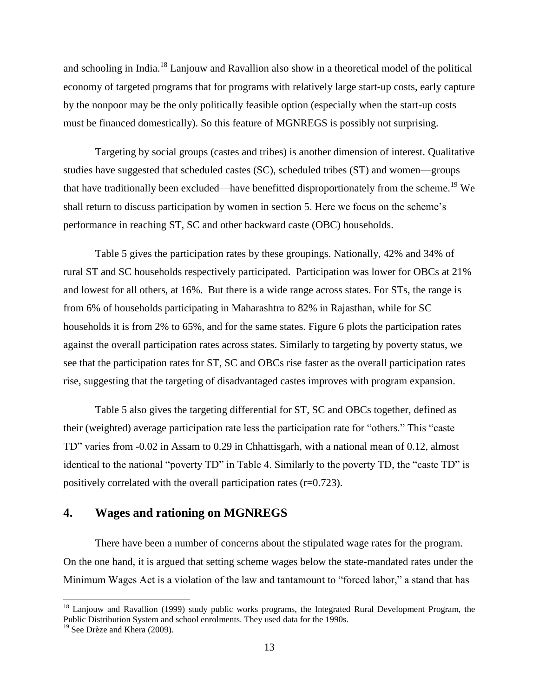and schooling in India.<sup>18</sup> Lanjouw and Ravallion also show in a theoretical model of the political economy of targeted programs that for programs with relatively large start-up costs, early capture by the nonpoor may be the only politically feasible option (especially when the start-up costs must be financed domestically). So this feature of MGNREGS is possibly not surprising.

Targeting by social groups (castes and tribes) is another dimension of interest. Qualitative studies have suggested that scheduled castes (SC), scheduled tribes (ST) and women—groups that have traditionally been excluded—have benefitted disproportionately from the scheme.<sup>19</sup> We shall return to discuss participation by women in section 5. Here we focus on the scheme's performance in reaching ST, SC and other backward caste (OBC) households.

Table 5 gives the participation rates by these groupings. Nationally, 42% and 34% of rural ST and SC households respectively participated. Participation was lower for OBCs at 21% and lowest for all others, at 16%. But there is a wide range across states. For STs, the range is from 6% of households participating in Maharashtra to 82% in Rajasthan, while for SC households it is from 2% to 65%, and for the same states. Figure 6 plots the participation rates against the overall participation rates across states. Similarly to targeting by poverty status, we see that the participation rates for ST, SC and OBCs rise faster as the overall participation rates rise, suggesting that the targeting of disadvantaged castes improves with program expansion.

Table 5 also gives the targeting differential for ST, SC and OBCs together, defined as their (weighted) average participation rate less the participation rate for "others." This "caste TD" varies from -0.02 in Assam to 0.29 in Chhattisgarh, with a national mean of 0.12, almost identical to the national "poverty TD" in Table 4. Similarly to the poverty TD, the "caste TD" is positively correlated with the overall participation rates  $(r=0.723)$ .

## **4. Wages and rationing on MGNREGS**

There have been a number of concerns about the stipulated wage rates for the program. On the one hand, it is argued that setting scheme wages below the state-mandated rates under the Minimum Wages Act is a violation of the law and tantamount to "forced labor," a stand that has

<sup>&</sup>lt;sup>18</sup> Lanjouw and Ravallion (1999) study public works programs, the Integrated Rural Development Program, the Public Distribution System and school enrolments. They used data for the 1990s.

<sup>&</sup>lt;sup>19</sup> See Drèze and Khera (2009).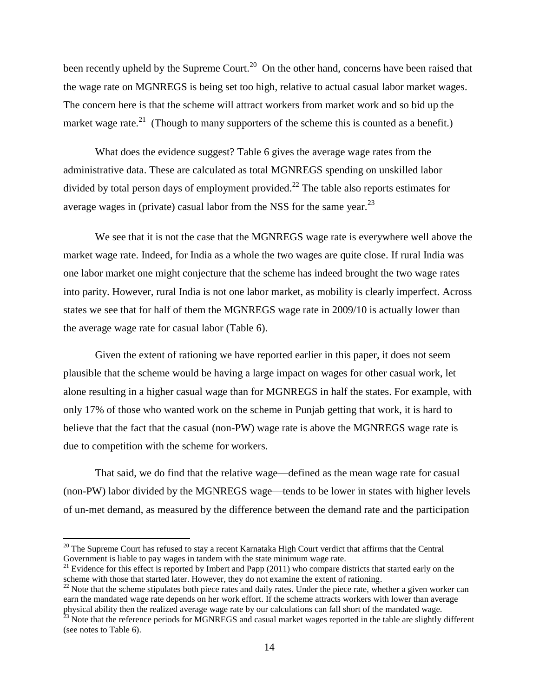been recently upheld by the Supreme Court.<sup>20</sup> On the other hand, concerns have been raised that the wage rate on MGNREGS is being set too high, relative to actual casual labor market wages. The concern here is that the scheme will attract workers from market work and so bid up the market wage rate.<sup>21</sup> (Though to many supporters of the scheme this is counted as a benefit.)

What does the evidence suggest? Table 6 gives the average wage rates from the administrative data. These are calculated as total MGNREGS spending on unskilled labor divided by total person days of employment provided.<sup>22</sup> The table also reports estimates for average wages in (private) casual labor from the NSS for the same year. $^{23}$ 

We see that it is not the case that the MGNREGS wage rate is everywhere well above the market wage rate. Indeed, for India as a whole the two wages are quite close. If rural India was one labor market one might conjecture that the scheme has indeed brought the two wage rates into parity. However, rural India is not one labor market, as mobility is clearly imperfect. Across states we see that for half of them the MGNREGS wage rate in 2009/10 is actually lower than the average wage rate for casual labor (Table 6).

Given the extent of rationing we have reported earlier in this paper, it does not seem plausible that the scheme would be having a large impact on wages for other casual work, let alone resulting in a higher casual wage than for MGNREGS in half the states. For example, with only 17% of those who wanted work on the scheme in Punjab getting that work, it is hard to believe that the fact that the casual (non-PW) wage rate is above the MGNREGS wage rate is due to competition with the scheme for workers.

That said, we do find that the relative wage—defined as the mean wage rate for casual (non-PW) labor divided by the MGNREGS wage—tends to be lower in states with higher levels of un-met demand, as measured by the difference between the demand rate and the participation

<sup>&</sup>lt;sup>20</sup> The Supreme Court has refused to stay a recent Karnataka High Court verdict that affirms that the Central Government is liable to pay wages in tandem with the state minimum wage rate.

<sup>&</sup>lt;sup>21</sup> Evidence for this effect is reported by Imbert and Papp (2011) who compare districts that started early on the scheme with those that started later. However, they do not examine the extent of rationing.

 $22$  Note that the scheme stipulates both piece rates and daily rates. Under the piece rate, whether a given worker can earn the mandated wage rate depends on her work effort. If the scheme attracts workers with lower than average physical ability then the realized average wage rate by our calculations can fall short of the mandated wage.

 $^{23}$  Note that the reference periods for MGNREGS and casual market wages reported in the table are slightly different (see notes to Table 6).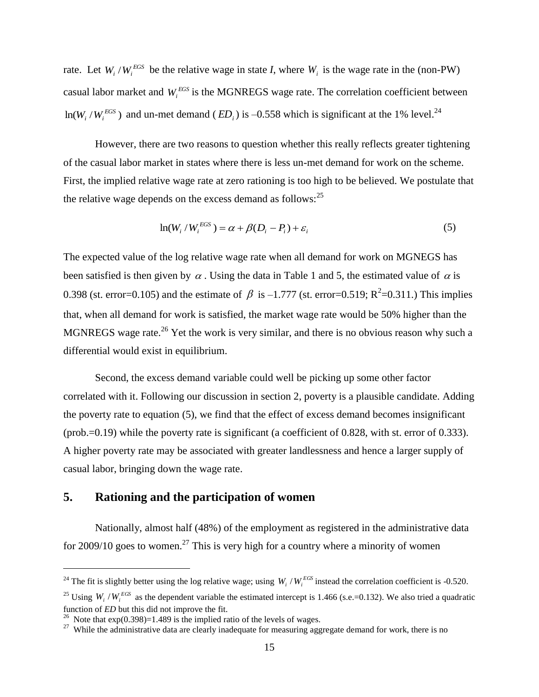rate. Let  $W_i / W_i^{EGS}$  be the relative wage in state *I*, where  $W_i$  is the wage rate in the (non-PW) casual labor market and  $W_i^{EGS}$  is the MGNREGS wage rate. The correlation coefficient between  $ln(W_i / W_i^{EGS})$  and un-met demand (*ED<sub>i</sub>*) is –0.558 which is significant at the 1% level.<sup>24</sup>

However, there are two reasons to question whether this really reflects greater tightening of the casual labor market in states where there is less un-met demand for work on the scheme. First, the implied relative wage rate at zero rationing is too high to be believed. We postulate that the relative wage depends on the excess demand as follows: $^{25}$ 

$$
\ln(W_i/W_i^{EGS}) = \alpha + \beta(D_i - P_i) + \varepsilon_i
$$
\n(5)

The expected value of the log relative wage rate when all demand for work on MGNEGS has been satisfied is then given by  $\alpha$ . Using the data in Table 1 and 5, the estimated value of  $\alpha$  is 0.398 (st. error=0.105) and the estimate of  $\beta$  is -1.777 (st. error=0.519; R<sup>2</sup>=0.311.) This implies that, when all demand for work is satisfied, the market wage rate would be 50% higher than the MGNREGS wage rate.<sup>26</sup> Yet the work is very similar, and there is no obvious reason why such a differential would exist in equilibrium.

Second, the excess demand variable could well be picking up some other factor correlated with it. Following our discussion in section 2, poverty is a plausible candidate. Adding the poverty rate to equation (5), we find that the effect of excess demand becomes insignificant (prob.=0.19) while the poverty rate is significant (a coefficient of 0.828, with st. error of 0.333). A higher poverty rate may be associated with greater landlessness and hence a larger supply of casual labor, bringing down the wage rate.

### **5. Rationing and the participation of women**

Nationally, almost half (48%) of the employment as registered in the administrative data for 2009/10 goes to women.<sup>27</sup> This is very high for a country where a minority of women

<sup>&</sup>lt;sup>24</sup> The fit is slightly better using the log relative wage; using  $W_i / W_i^{EG}$  instead the correlation coefficient is -0.520.

<sup>&</sup>lt;sup>25</sup> Using  $W_i / W_i^{EGS}$  as the dependent variable the estimated intercept is 1.466 (s.e.=0.132). We also tried a quadratic function of *ED* but this did not improve the fit.

<sup>&</sup>lt;sup>26</sup> Note that  $exp(0.398)=1.489$  is the implied ratio of the levels of wages.

<sup>&</sup>lt;sup>27</sup> While the administrative data are clearly inadequate for measuring aggregate demand for work, there is no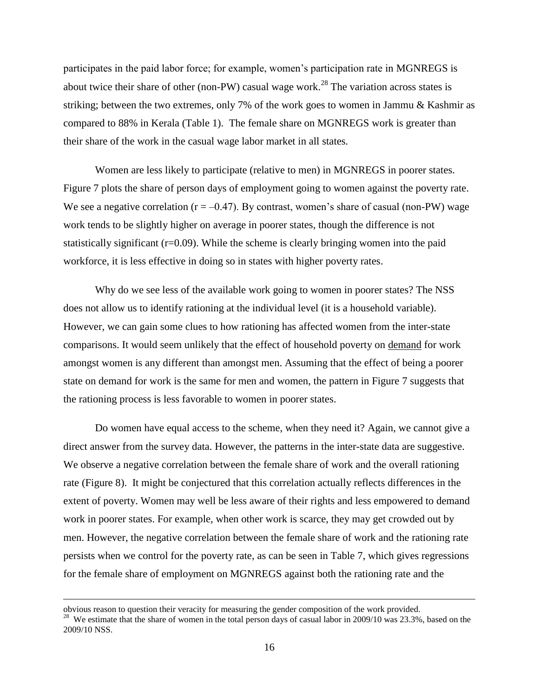participates in the paid labor force; for example, women's participation rate in MGNREGS is about twice their share of other (non-PW) casual wage work.<sup>28</sup> The variation across states is striking; between the two extremes, only 7% of the work goes to women in Jammu & Kashmir as compared to 88% in Kerala (Table 1). The female share on MGNREGS work is greater than their share of the work in the casual wage labor market in all states.

Women are less likely to participate (relative to men) in MGNREGS in poorer states. Figure 7 plots the share of person days of employment going to women against the poverty rate. We see a negative correlation ( $r = -0.47$ ). By contrast, women's share of casual (non-PW) wage work tends to be slightly higher on average in poorer states, though the difference is not statistically significant  $(r=0.09)$ . While the scheme is clearly bringing women into the paid workforce, it is less effective in doing so in states with higher poverty rates.

Why do we see less of the available work going to women in poorer states? The NSS does not allow us to identify rationing at the individual level (it is a household variable). However, we can gain some clues to how rationing has affected women from the inter-state comparisons. It would seem unlikely that the effect of household poverty on demand for work amongst women is any different than amongst men. Assuming that the effect of being a poorer state on demand for work is the same for men and women, the pattern in Figure 7 suggests that the rationing process is less favorable to women in poorer states.

Do women have equal access to the scheme, when they need it? Again, we cannot give a direct answer from the survey data. However, the patterns in the inter-state data are suggestive. We observe a negative correlation between the female share of work and the overall rationing rate (Figure 8). It might be conjectured that this correlation actually reflects differences in the extent of poverty. Women may well be less aware of their rights and less empowered to demand work in poorer states. For example, when other work is scarce, they may get crowded out by men. However, the negative correlation between the female share of work and the rationing rate persists when we control for the poverty rate, as can be seen in Table 7, which gives regressions for the female share of employment on MGNREGS against both the rationing rate and the

obvious reason to question their veracity for measuring the gender composition of the work provided. <sup>28</sup> We estimate that the share of women in the total person days of casual labor in 2009/10 was 23.3%, based on the 2009/10 NSS.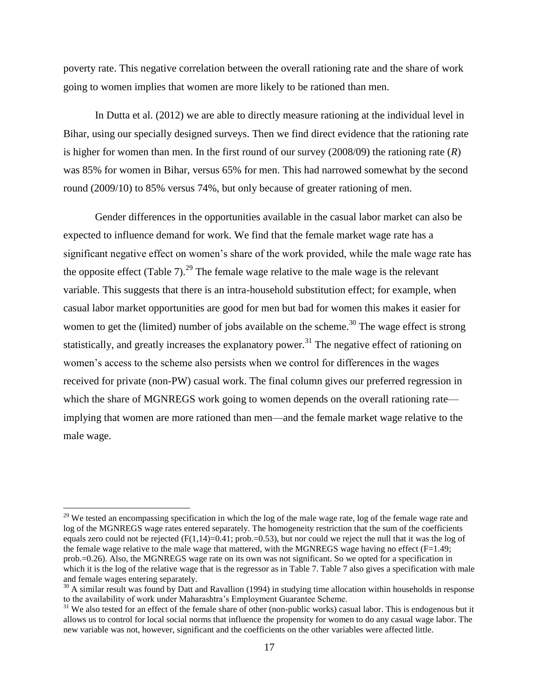poverty rate. This negative correlation between the overall rationing rate and the share of work going to women implies that women are more likely to be rationed than men.

In Dutta et al. (2012) we are able to directly measure rationing at the individual level in Bihar, using our specially designed surveys. Then we find direct evidence that the rationing rate is higher for women than men. In the first round of our survey (2008/09) the rationing rate (*R*) was 85% for women in Bihar, versus 65% for men. This had narrowed somewhat by the second round (2009/10) to 85% versus 74%, but only because of greater rationing of men.

Gender differences in the opportunities available in the casual labor market can also be expected to influence demand for work. We find that the female market wage rate has a significant negative effect on women's share of the work provided, while the male wage rate has the opposite effect (Table 7).<sup>29</sup> The female wage relative to the male wage is the relevant variable. This suggests that there is an intra-household substitution effect; for example, when casual labor market opportunities are good for men but bad for women this makes it easier for women to get the (limited) number of jobs available on the scheme.<sup>30</sup> The wage effect is strong statistically, and greatly increases the explanatory power.<sup>31</sup> The negative effect of rationing on women's access to the scheme also persists when we control for differences in the wages received for private (non-PW) casual work. The final column gives our preferred regression in which the share of MGNREGS work going to women depends on the overall rationing rate implying that women are more rationed than men—and the female market wage relative to the male wage.

<sup>&</sup>lt;sup>29</sup> We tested an encompassing specification in which the log of the male wage rate, log of the female wage rate and log of the MGNREGS wage rates entered separately. The homogeneity restriction that the sum of the coefficients equals zero could not be rejected  $(F(1,14)=0.41; prob=0.53)$ , but nor could we reject the null that it was the log of the female wage relative to the male wage that mattered, with the MGNREGS wage having no effect  $(F=1.49;$ prob.=0.26). Also, the MGNREGS wage rate on its own was not significant. So we opted for a specification in which it is the log of the relative wage that is the regressor as in Table 7. Table 7 also gives a specification with male and female wages entering separately.

 $30$  A similar result was found by Datt and Ravallion (1994) in studying time allocation within households in response to the availability of work under Maharashtra's Employment Guarantee Scheme.

<sup>&</sup>lt;sup>31</sup> We also tested for an effect of the female share of other (non-public works) casual labor. This is endogenous but it allows us to control for local social norms that influence the propensity for women to do any casual wage labor. The new variable was not, however, significant and the coefficients on the other variables were affected little.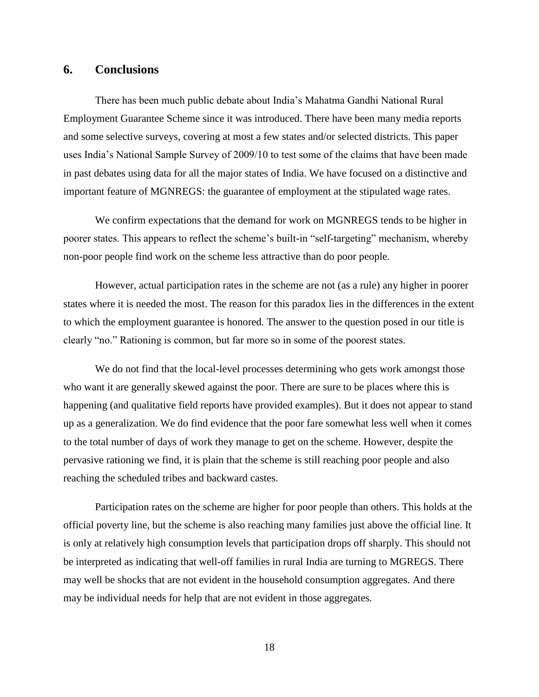#### **6. Conclusions**

There has been much public debate about India's Mahatma Gandhi National Rural Employment Guarantee Scheme since it was introduced. There have been many media reports and some selective surveys, covering at most a few states and/or selected districts. This paper uses India's National Sample Survey of 2009/10 to test some of the claims that have been made in past debates using data for all the major states of India. We have focused on a distinctive and important feature of MGNREGS: the guarantee of employment at the stipulated wage rates.

We confirm expectations that the demand for work on MGNREGS tends to be higher in poorer states. This appears to reflect the scheme's built-in "self-targeting" mechanism, whereby non-poor people find work on the scheme less attractive than do poor people.

However, actual participation rates in the scheme are not (as a rule) any higher in poorer states where it is needed the most. The reason for this paradox lies in the differences in the extent to which the employment guarantee is honored. The answer to the question posed in our title is clearly "no." Rationing is common, but far more so in some of the poorest states.

We do not find that the local-level processes determining who gets work amongst those who want it are generally skewed against the poor. There are sure to be places where this is happening (and qualitative field reports have provided examples). But it does not appear to stand up as a generalization. We do find evidence that the poor fare somewhat less well when it comes to the total number of days of work they manage to get on the scheme. However, despite the pervasive rationing we find, it is plain that the scheme is still reaching poor people and also reaching the scheduled tribes and backward castes.

Participation rates on the scheme are higher for poor people than others. This holds at the official poverty line, but the scheme is also reaching many families just above the official line. It is only at relatively high consumption levels that participation drops off sharply. This should not be interpreted as indicating that well-off families in rural India are turning to MGREGS. There may well be shocks that are not evident in the household consumption aggregates. And there may be individual needs for help that are not evident in those aggregates.

18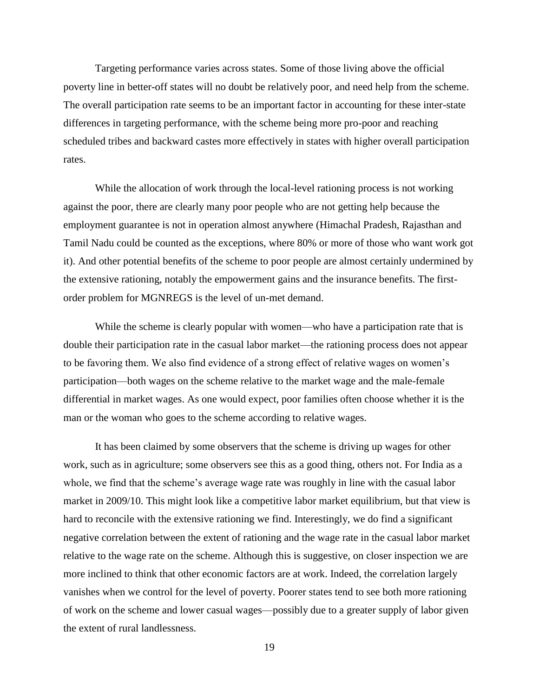Targeting performance varies across states. Some of those living above the official poverty line in better-off states will no doubt be relatively poor, and need help from the scheme. The overall participation rate seems to be an important factor in accounting for these inter-state differences in targeting performance, with the scheme being more pro-poor and reaching scheduled tribes and backward castes more effectively in states with higher overall participation rates.

While the allocation of work through the local-level rationing process is not working against the poor, there are clearly many poor people who are not getting help because the employment guarantee is not in operation almost anywhere (Himachal Pradesh, Rajasthan and Tamil Nadu could be counted as the exceptions, where 80% or more of those who want work got it). And other potential benefits of the scheme to poor people are almost certainly undermined by the extensive rationing, notably the empowerment gains and the insurance benefits. The firstorder problem for MGNREGS is the level of un-met demand.

While the scheme is clearly popular with women—who have a participation rate that is double their participation rate in the casual labor market—the rationing process does not appear to be favoring them. We also find evidence of a strong effect of relative wages on women's participation—both wages on the scheme relative to the market wage and the male-female differential in market wages. As one would expect, poor families often choose whether it is the man or the woman who goes to the scheme according to relative wages.

It has been claimed by some observers that the scheme is driving up wages for other work, such as in agriculture; some observers see this as a good thing, others not. For India as a whole, we find that the scheme's average wage rate was roughly in line with the casual labor market in 2009/10. This might look like a competitive labor market equilibrium, but that view is hard to reconcile with the extensive rationing we find. Interestingly, we do find a significant negative correlation between the extent of rationing and the wage rate in the casual labor market relative to the wage rate on the scheme. Although this is suggestive, on closer inspection we are more inclined to think that other economic factors are at work. Indeed, the correlation largely vanishes when we control for the level of poverty. Poorer states tend to see both more rationing of work on the scheme and lower casual wages—possibly due to a greater supply of labor given the extent of rural landlessness.

19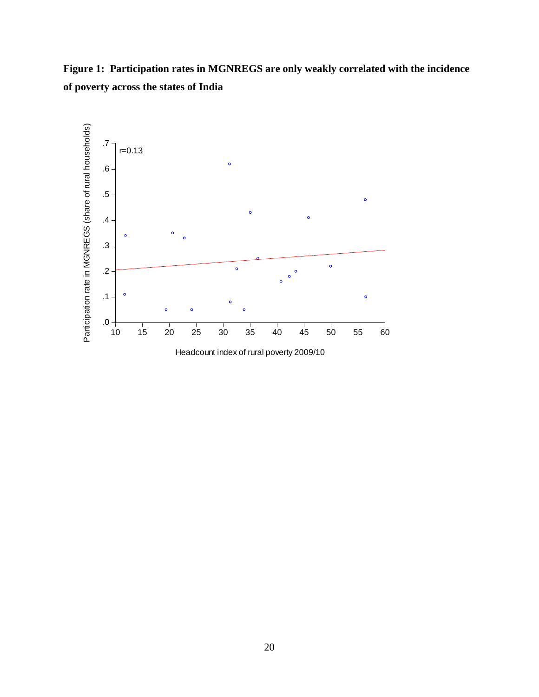**Figure 1: Participation rates in MGNREGS are only weakly correlated with the incidence of poverty across the states of India**

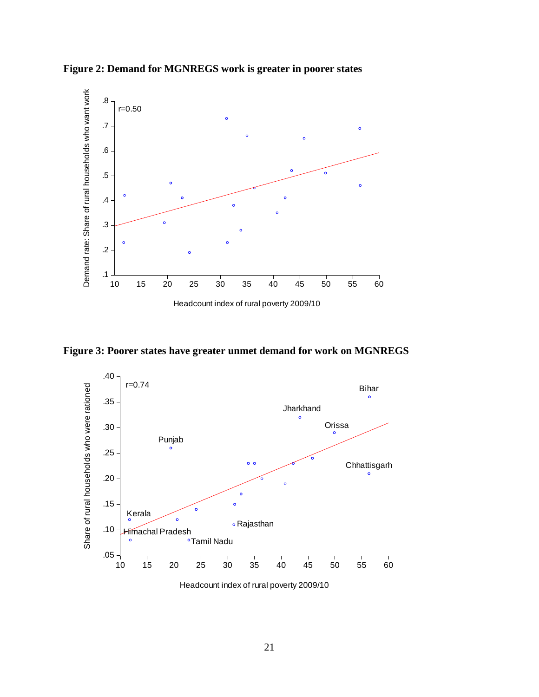

**Figure 2: Demand for MGNREGS work is greater in poorer states**

**Figure 3: Poorer states have greater unmet demand for work on MGNREGS**



Headcount index of rural poverty 2009/10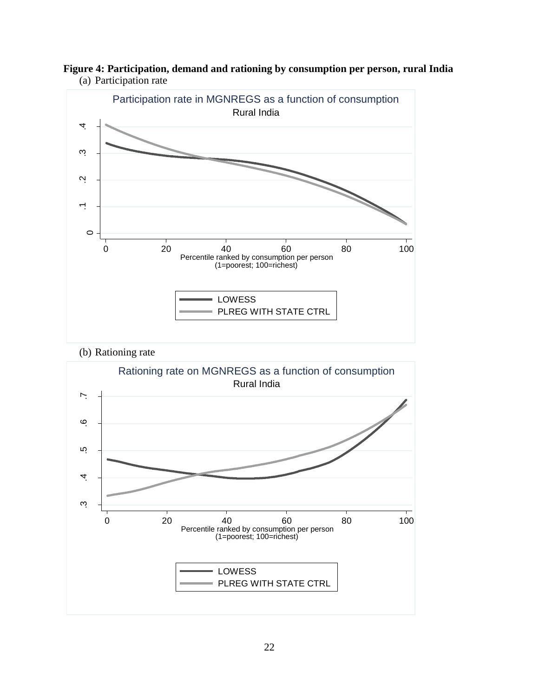

**Figure 4: Participation, demand and rationing by consumption per person, rural India** (a) Participation rate

(b) Rationing rate

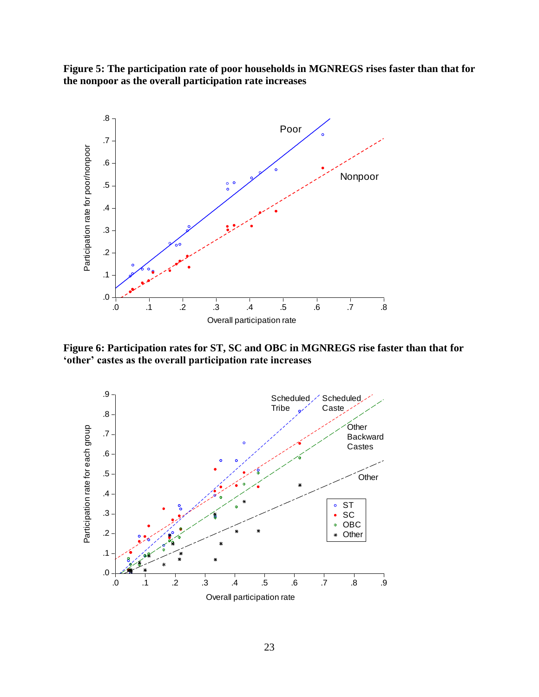**Figure 5: The participation rate of poor households in MGNREGS rises faster than that for the nonpoor as the overall participation rate increases** 



**Figure 6: Participation rates for ST, SC and OBC in MGNREGS rise faster than that for 'other' castes as the overall participation rate increases**

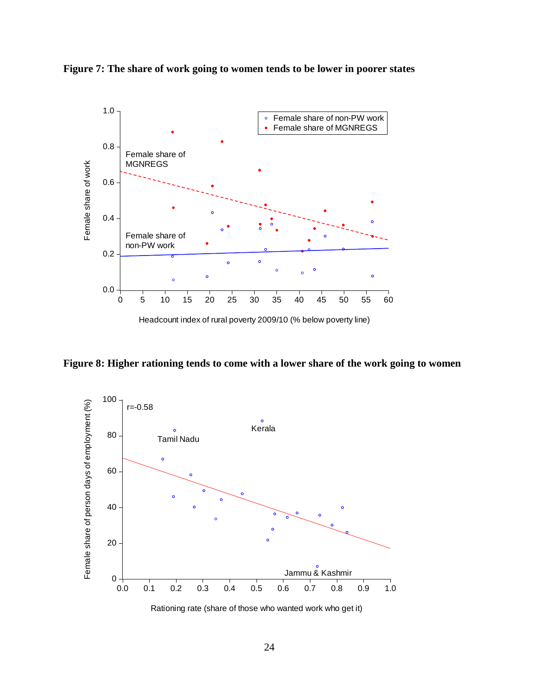



**Figure 8: Higher rationing tends to come with a lower share of the work going to women**

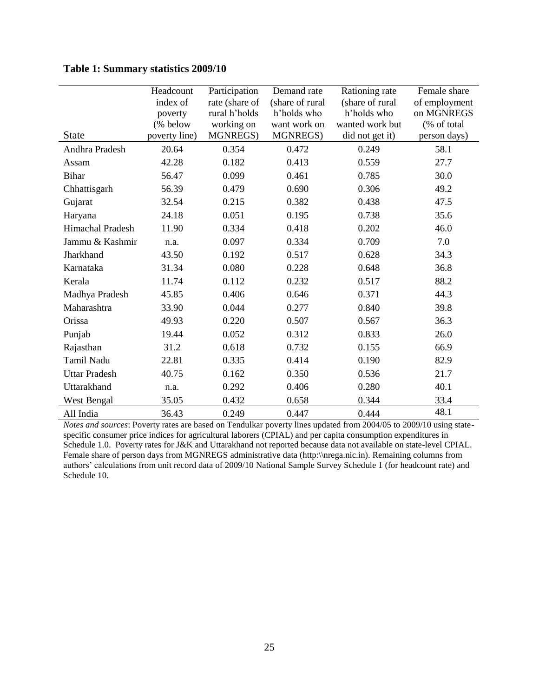|                      | Headcount     | Participation  | Demand rate     | Rationing rate  | Female share  |
|----------------------|---------------|----------------|-----------------|-----------------|---------------|
|                      | index of      | rate (share of | (share of rural | (share of rural | of employment |
|                      | poverty       | rural h'holds  | h'holds who     | h'holds who     | on MGNREGS    |
|                      | (% below      | working on     | want work on    | wanted work but | (% of total   |
| <b>State</b>         | poverty line) | MGNREGS)       | MGNREGS)        | did not get it) | person days)  |
| Andhra Pradesh       | 20.64         | 0.354          | 0.472           | 0.249           | 58.1          |
| Assam                | 42.28         | 0.182          | 0.413           | 0.559           | 27.7          |
| <b>Bihar</b>         | 56.47         | 0.099          | 0.461           | 0.785           | 30.0          |
| Chhattisgarh         | 56.39         | 0.479          | 0.690           | 0.306           | 49.2          |
| Gujarat              | 32.54         | 0.215          | 0.382           | 0.438           | 47.5          |
| Haryana              | 24.18         | 0.051          | 0.195           | 0.738           | 35.6          |
| Himachal Pradesh     | 11.90         | 0.334          | 0.418           | 0.202           | 46.0          |
| Jammu & Kashmir      | n.a.          | 0.097          | 0.334           | 0.709           | 7.0           |
| Jharkhand            | 43.50         | 0.192          | 0.517           | 0.628           | 34.3          |
| Karnataka            | 31.34         | 0.080          | 0.228           | 0.648           | 36.8          |
| Kerala               | 11.74         | 0.112          | 0.232           | 0.517           | 88.2          |
| Madhya Pradesh       | 45.85         | 0.406          | 0.646           | 0.371           | 44.3          |
| Maharashtra          | 33.90         | 0.044          | 0.277           | 0.840           | 39.8          |
| Orissa               | 49.93         | 0.220          | 0.507           | 0.567           | 36.3          |
| Punjab               | 19.44         | 0.052          | 0.312           | 0.833           | 26.0          |
| Rajasthan            | 31.2          | 0.618          | 0.732           | 0.155           | 66.9          |
| Tamil Nadu           | 22.81         | 0.335          | 0.414           | 0.190           | 82.9          |
| <b>Uttar Pradesh</b> | 40.75         | 0.162          | 0.350           | 0.536           | 21.7          |
| Uttarakhand          | n.a.          | 0.292          | 0.406           | 0.280           | 40.1          |
| West Bengal          | 35.05         | 0.432          | 0.658           | 0.344           | 33.4          |
| All India            | 36.43         | 0.249          | 0.447           | 0.444           | 48.1          |

**Table 1: Summary statistics 2009/10** 

*Notes and sources*: Poverty rates are based on Tendulkar poverty lines updated from 2004/05 to 2009/10 using statespecific consumer price indices for agricultural laborers (CPIAL) and per capita consumption expenditures in Schedule 1.0. Poverty rates for J&K and Uttarakhand not reported because data not available on state-level CPIAL. Female share of person days from MGNREGS [administrative data](http://nrega.nic.in/netnrega/mpr_ht/nregampr.aspx) (http:\\nrega.nic.in). Remaining columns from authors' calculations from unit record data of 2009/10 National Sample Survey Schedule 1 (for headcount rate) and Schedule 10.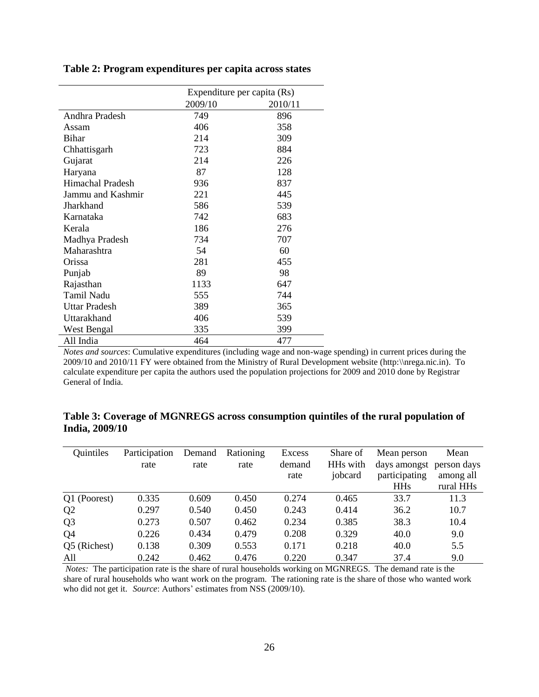|                   | Expenditure per capita (Rs) |         |  |
|-------------------|-----------------------------|---------|--|
|                   | 2009/10                     | 2010/11 |  |
| Andhra Pradesh    | 749                         | 896     |  |
| Assam             | 406                         | 358     |  |
| <b>Bihar</b>      | 214                         | 309     |  |
| Chhattisgarh      | 723                         | 884     |  |
| Gujarat           | 214                         | 226     |  |
| Haryana           | 87                          | 128     |  |
| Himachal Pradesh  | 936                         | 837     |  |
| Jammu and Kashmir | 221                         | 445     |  |
| Jharkhand         | 586                         | 539     |  |
| Karnataka         | 742                         | 683     |  |
| Kerala            | 186                         | 276     |  |
| Madhya Pradesh    | 734                         | 707     |  |
| Maharashtra       | 54                          | 60      |  |
| Orissa            | 281                         | 455     |  |
| Punjab            | 89                          | 98      |  |
| Rajasthan         | 1133                        | 647     |  |
| Tamil Nadu        | 555                         | 744     |  |
| Uttar Pradesh     | 389                         | 365     |  |
| Uttarakhand       | 406                         | 539     |  |
| West Bengal       | 335                         | 399     |  |
| All India         | 464                         | 477     |  |

**Table 2: Program expenditures per capita across states** 

*Notes and sources*: Cumulative expenditures (including wage and non-wage spending) in current prices during the 2009/10 and 2010/11 FY were obtained from the Ministry of Rural Development website (http:\\nrega.nic.in). To calculate expenditure per capita the authors used the population projections for 2009 and 2010 done by Registrar General of India.

| Quintiles      | Participation | Demand | Rationing | Excess | Share of             | Mean person              | Mean      |
|----------------|---------------|--------|-----------|--------|----------------------|--------------------------|-----------|
|                | rate          | rate   | rate      | demand | HH <sub>s</sub> with | days amongst person days |           |
|                |               |        |           | rate   | jobcard              | participating            | among all |
|                |               |        |           |        |                      | <b>HHs</b>               | rural HHs |
| Q1 (Poorest)   | 0.335         | 0.609  | 0.450     | 0.274  | 0.465                | 33.7                     | 11.3      |
| Q <sub>2</sub> | 0.297         | 0.540  | 0.450     | 0.243  | 0.414                | 36.2                     | 10.7      |
| Q <sub>3</sub> | 0.273         | 0.507  | 0.462     | 0.234  | 0.385                | 38.3                     | 10.4      |
| Q <sub>4</sub> | 0.226         | 0.434  | 0.479     | 0.208  | 0.329                | 40.0                     | 9.0       |
| Q5 (Richest)   | 0.138         | 0.309  | 0.553     | 0.171  | 0.218                | 40.0                     | 5.5       |
| All            | 0.242         | 0.462  | 0.476     | 0.220  | 0.347                | 37.4                     | 9.0       |

**Table 3: Coverage of MGNREGS across consumption quintiles of the rural population of India, 2009/10**

*Notes:* The participation rate is the share of rural households working on MGNREGS. The demand rate is the share of rural households who want work on the program. The rationing rate is the share of those who wanted work who did not get it. *Source*: Authors' estimates from NSS (2009/10).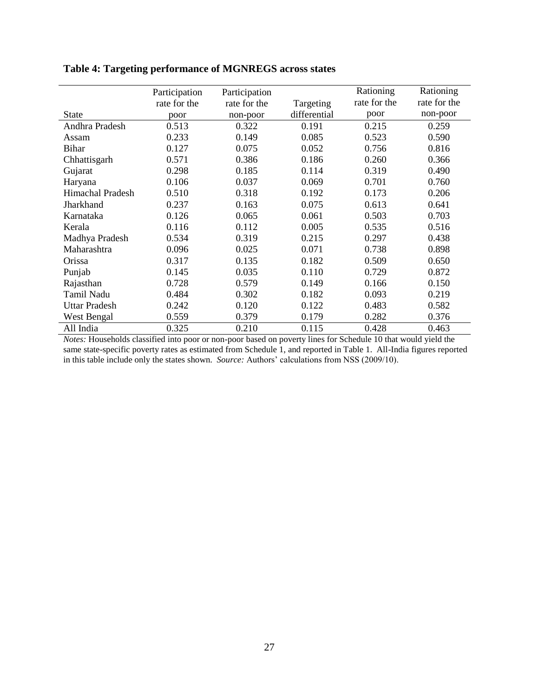|                      | Participation<br>rate for the | Participation<br>rate for the | Targeting    | Rationing<br>rate for the | Rationing<br>rate for the |
|----------------------|-------------------------------|-------------------------------|--------------|---------------------------|---------------------------|
| <b>State</b>         | poor                          | non-poor                      | differential | poor                      | non-poor                  |
| Andhra Pradesh       | 0.513                         | 0.322                         | 0.191        | 0.215                     | 0.259                     |
| Assam                | 0.233                         | 0.149                         | 0.085        | 0.523                     | 0.590                     |
| <b>Bihar</b>         | 0.127                         | 0.075                         | 0.052        | 0.756                     | 0.816                     |
| Chhattisgarh         | 0.571                         | 0.386                         | 0.186        | 0.260                     | 0.366                     |
| Gujarat              | 0.298                         | 0.185                         | 0.114        | 0.319                     | 0.490                     |
| Haryana              | 0.106                         | 0.037                         | 0.069        | 0.701                     | 0.760                     |
| Himachal Pradesh     | 0.510                         | 0.318                         | 0.192        | 0.173                     | 0.206                     |
| Jharkhand            | 0.237                         | 0.163                         | 0.075        | 0.613                     | 0.641                     |
| Karnataka            | 0.126                         | 0.065                         | 0.061        | 0.503                     | 0.703                     |
| Kerala               | 0.116                         | 0.112                         | 0.005        | 0.535                     | 0.516                     |
| Madhya Pradesh       | 0.534                         | 0.319                         | 0.215        | 0.297                     | 0.438                     |
| Maharashtra          | 0.096                         | 0.025                         | 0.071        | 0.738                     | 0.898                     |
| Orissa               | 0.317                         | 0.135                         | 0.182        | 0.509                     | 0.650                     |
| Punjab               | 0.145                         | 0.035                         | 0.110        | 0.729                     | 0.872                     |
| Rajasthan            | 0.728                         | 0.579                         | 0.149        | 0.166                     | 0.150                     |
| Tamil Nadu           | 0.484                         | 0.302                         | 0.182        | 0.093                     | 0.219                     |
| <b>Uttar Pradesh</b> | 0.242                         | 0.120                         | 0.122        | 0.483                     | 0.582                     |
| West Bengal          | 0.559                         | 0.379                         | 0.179        | 0.282                     | 0.376                     |
| All India            | 0.325                         | 0.210                         | 0.115        | 0.428                     | 0.463                     |

**Table 4: Targeting performance of MGNREGS across states**

*Notes:* Households classified into poor or non-poor based on poverty lines for Schedule 10 that would yield the same state-specific poverty rates as estimated from Schedule 1, and reported in Table 1. All-India figures reported in this table include only the states shown. *Source:* Authors' calculations from NSS (2009/10).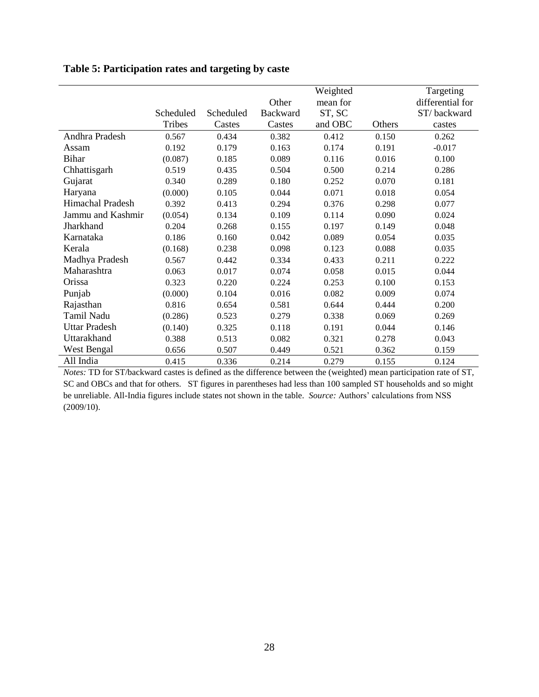|                      |           |           |          | Weighted |        | Targeting        |
|----------------------|-----------|-----------|----------|----------|--------|------------------|
|                      |           |           | Other    | mean for |        | differential for |
|                      | Scheduled | Scheduled | Backward | ST, SC   |        | ST/backward      |
|                      | Tribes    | Castes    | Castes   | and OBC  | Others | castes           |
| Andhra Pradesh       | 0.567     | 0.434     | 0.382    | 0.412    | 0.150  | 0.262            |
| Assam                | 0.192     | 0.179     | 0.163    | 0.174    | 0.191  | $-0.017$         |
| <b>Bihar</b>         | (0.087)   | 0.185     | 0.089    | 0.116    | 0.016  | 0.100            |
| Chhattisgarh         | 0.519     | 0.435     | 0.504    | 0.500    | 0.214  | 0.286            |
| Gujarat              | 0.340     | 0.289     | 0.180    | 0.252    | 0.070  | 0.181            |
| Haryana              | (0.000)   | 0.105     | 0.044    | 0.071    | 0.018  | 0.054            |
| Himachal Pradesh     | 0.392     | 0.413     | 0.294    | 0.376    | 0.298  | 0.077            |
| Jammu and Kashmir    | (0.054)   | 0.134     | 0.109    | 0.114    | 0.090  | 0.024            |
| Jharkhand            | 0.204     | 0.268     | 0.155    | 0.197    | 0.149  | 0.048            |
| Karnataka            | 0.186     | 0.160     | 0.042    | 0.089    | 0.054  | 0.035            |
| Kerala               | (0.168)   | 0.238     | 0.098    | 0.123    | 0.088  | 0.035            |
| Madhya Pradesh       | 0.567     | 0.442     | 0.334    | 0.433    | 0.211  | 0.222            |
| Maharashtra          | 0.063     | 0.017     | 0.074    | 0.058    | 0.015  | 0.044            |
| Orissa               | 0.323     | 0.220     | 0.224    | 0.253    | 0.100  | 0.153            |
| Punjab               | (0.000)   | 0.104     | 0.016    | 0.082    | 0.009  | 0.074            |
| Rajasthan            | 0.816     | 0.654     | 0.581    | 0.644    | 0.444  | 0.200            |
| Tamil Nadu           | (0.286)   | 0.523     | 0.279    | 0.338    | 0.069  | 0.269            |
| <b>Uttar Pradesh</b> | (0.140)   | 0.325     | 0.118    | 0.191    | 0.044  | 0.146            |
| Uttarakhand          | 0.388     | 0.513     | 0.082    | 0.321    | 0.278  | 0.043            |
| West Bengal          | 0.656     | 0.507     | 0.449    | 0.521    | 0.362  | 0.159            |
| All India            | 0.415     | 0.336     | 0.214    | 0.279    | 0.155  | 0.124            |

**Table 5: Participation rates and targeting by caste**

*Notes:* TD for ST/backward castes is defined as the difference between the (weighted) mean participation rate of ST, SC and OBCs and that for others. ST figures in parentheses had less than 100 sampled ST households and so might be unreliable. All-India figures include states not shown in the table. *Source:* Authors' calculations from NSS (2009/10).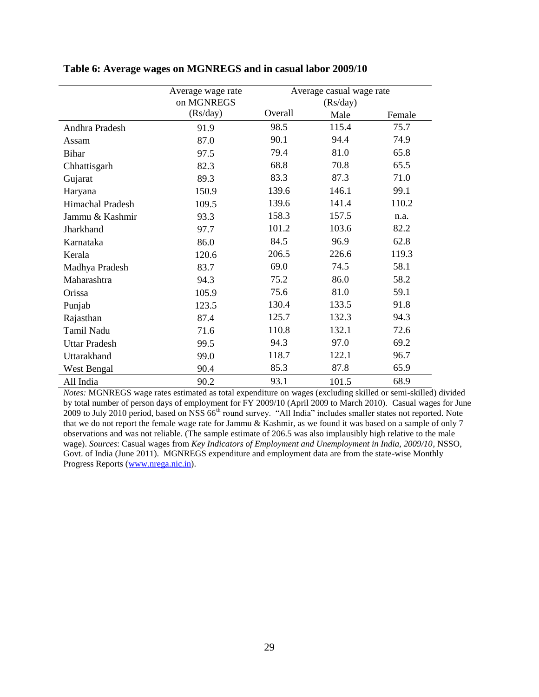|                      | Average wage rate<br>on MGNREGS | Average casual wage rate<br>(Rs/day) |       |        |
|----------------------|---------------------------------|--------------------------------------|-------|--------|
|                      | (Rs/day)                        | Overall                              | Male  | Female |
| Andhra Pradesh       | 91.9                            | 98.5                                 | 115.4 | 75.7   |
| Assam                | 87.0                            | 90.1                                 | 94.4  | 74.9   |
| <b>Bihar</b>         | 97.5                            | 79.4                                 | 81.0  | 65.8   |
| Chhattisgarh         | 82.3                            | 68.8                                 | 70.8  | 65.5   |
| Gujarat              | 89.3                            | 83.3                                 | 87.3  | 71.0   |
| Haryana              | 150.9                           | 139.6                                | 146.1 | 99.1   |
| Himachal Pradesh     | 109.5                           | 139.6                                | 141.4 | 110.2  |
| Jammu & Kashmir      | 93.3                            | 158.3                                | 157.5 | n.a.   |
| Jharkhand            | 97.7                            | 101.2                                | 103.6 | 82.2   |
| Karnataka            | 86.0                            | 84.5                                 | 96.9  | 62.8   |
| Kerala               | 120.6                           | 206.5                                | 226.6 | 119.3  |
| Madhya Pradesh       | 83.7                            | 69.0                                 | 74.5  | 58.1   |
| Maharashtra          | 94.3                            | 75.2                                 | 86.0  | 58.2   |
| Orissa               | 105.9                           | 75.6                                 | 81.0  | 59.1   |
| Punjab               | 123.5                           | 130.4                                | 133.5 | 91.8   |
| Rajasthan            | 87.4                            | 125.7                                | 132.3 | 94.3   |
| Tamil Nadu           | 71.6                            | 110.8                                | 132.1 | 72.6   |
| <b>Uttar Pradesh</b> | 99.5                            | 94.3                                 | 97.0  | 69.2   |
| Uttarakhand          | 99.0                            | 118.7                                | 122.1 | 96.7   |
| <b>West Bengal</b>   | 90.4                            | 85.3                                 | 87.8  | 65.9   |
| All India            | 90.2                            | 93.1                                 | 101.5 | 68.9   |

**Table 6: Average wages on MGNREGS and in casual labor 2009/10**

*Notes:* MGNREGS wage rates estimated as total expenditure on wages (excluding skilled or semi-skilled) divided by total number of person days of employment for FY 2009/10 (April 2009 to March 2010).Casual wages for June 2009 to July 2010 period, based on NSS 66<sup>th</sup> round survey. "All India" includes smaller states not reported. Note that we do not report the female wage rate for Jammu & Kashmir, as we found it was based on a sample of only 7 observations and was not reliable. (The sample estimate of 206.5 was also implausibly high relative to the male wage). *Sources*: Casual wages from *Key Indicators of Employment and Unemployment in India, 2009/10*, NSSO, Govt. of India (June 2011). MGNREGS expenditure and employment data are from the state-wise Monthly Progress Reports [\(www.nrega.nic.in\)](http://www.nrega.nic.in/).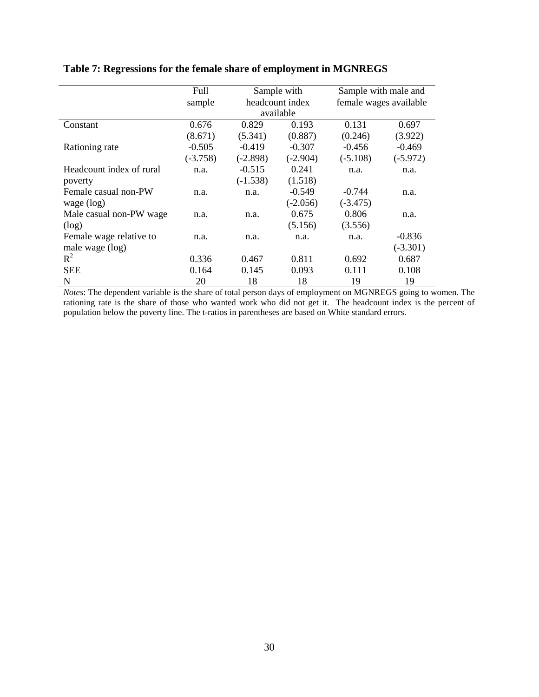|                          | Full       |            |                                | Sample with male and |                        |  |
|--------------------------|------------|------------|--------------------------------|----------------------|------------------------|--|
|                          |            |            | Sample with<br>headcount index |                      | female wages available |  |
|                          | sample     |            | available                      |                      |                        |  |
|                          |            |            |                                |                      |                        |  |
| Constant                 | 0.676      | 0.829      | 0.193                          | 0.131                | 0.697                  |  |
|                          | (8.671)    | (5.341)    | (0.887)                        | (0.246)              | (3.922)                |  |
| Rationing rate           | $-0.505$   | $-0.419$   | $-0.307$                       | $-0.456$             | $-0.469$               |  |
|                          | $(-3.758)$ | $(-2.898)$ | $(-2.904)$                     | $(-5.108)$           | $(-5.972)$             |  |
| Headcount index of rural | n.a.       | $-0.515$   | 0.241                          | n.a.                 | n.a.                   |  |
| poverty                  |            | $(-1.538)$ | (1.518)                        |                      |                        |  |
| Female casual non-PW     | n.a.       | n.a.       | $-0.549$                       | $-0.744$             | n.a.                   |  |
| wage $(log)$             |            |            | $(-2.056)$                     | $(-3.475)$           |                        |  |
| Male casual non-PW wage  | n.a.       | n.a.       | 0.675                          | 0.806                | n.a.                   |  |
| (log)                    |            |            | (5.156)                        | (3.556)              |                        |  |
| Female wage relative to  | n.a.       | n.a.       | n.a.                           | n.a.                 | $-0.836$               |  |
| male wage (log)          |            |            |                                |                      | $(-3.301)$             |  |
| $R^2$                    | 0.336      | 0.467      | 0.811                          | 0.692                | 0.687                  |  |
| <b>SEE</b>               | 0.164      | 0.145      | 0.093                          | 0.111                | 0.108                  |  |
| N                        | 20         | 18         | 18                             | 19                   | 19                     |  |

#### **Table 7: Regressions for the female share of employment in MGNREGS**

*Notes*: The dependent variable is the share of total person days of employment on MGNREGS going to women. The rationing rate is the share of those who wanted work who did not get it. The headcount index is the percent of population below the poverty line. The t-ratios in parentheses are based on White standard errors.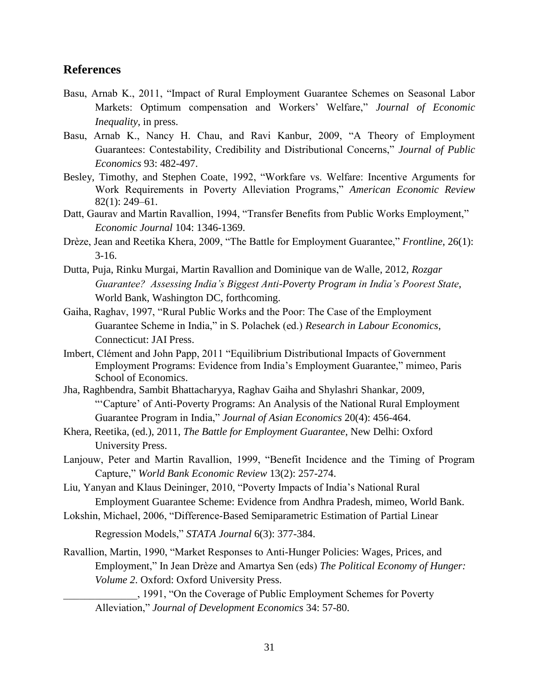## **References**

- Basu, Arnab K., 2011, "Impact of Rural Employment Guarantee Schemes on Seasonal Labor Markets: Optimum compensation and Workers' Welfare," Journal of Economic *Inequality*, in press.
- Basu, Arnab K., Nancy H. Chau, and Ravi Kanbur, 2009, "A Theory of Employment Guarantees: Contestability, Credibility and Distributional Concerns," Journal of Public *Economics* 93: 482-497.
- Besley, Timothy, and Stephen Coate, 1992, "Workfare vs. Welfare: Incentive Arguments for Work Requirements in Poverty Alleviation Programs," American Economic Review 82(1): 249–61.
- Datt, Gaurav and Martin Ravallion, 1994, "Transfer Benefits from Public Works Employment," *Economic Journal* 104: 1346-1369.
- Drèze, Jean and Reetika Khera, 2009, "The Battle for Employment Guarantee," *Frontline*, 26(1): 3-16.
- Dutta, Puja, Rinku Murgai, Martin Ravallion and Dominique van de Walle, 2012, *Rozgar Guarantee? Assessing India's Biggest Anti-Poverty Program in India's Poorest State*, World Bank, Washington DC, forthcoming.
- Gaiha, Raghav, 1997, "Rural Public Works and the Poor: The Case of the Employment Guarantee Scheme in India," in S. Polachek (ed.) *Research in Labour Economics*, Connecticut: JAI Press.
- Imbert, Clément and John Papp, 2011 "Equilibrium Distributional Impacts of Government Employment Programs: Evidence from India's Employment Guarantee," mimeo, Paris School of Economics.
- Jha, Raghbendra, Sambit Bhattacharyya, Raghav Gaiha and Shylashri Shankar, 2009, ―‗Capture' of Anti-Poverty Programs: An Analysis of the National Rural Employment Guarantee Program in India," Journal of Asian Economics 20(4): 456-464.
- Khera, Reetika, (ed.), 2011, *The Battle for Employment Guarantee*, New Delhi: Oxford University Press.
- Lanjouw, Peter and Martin Ravallion, 1999, "Benefit Incidence and the Timing of Program Capture," World Bank Economic Review 13(2): 257-274.

Liu, Yanyan and Klaus Deininger, 2010, "Poverty Impacts of India's National Rural Employment Guarantee Scheme: Evidence from Andhra Pradesh, mimeo, World Bank.

Lokshin, Michael, 2006, "Difference-Based Semiparametric Estimation of Partial Linear

Regression Models," *STATA Journal* 6(3): 377-384.

- Ravallion, Martin, 1990, "Market Responses to Anti-Hunger Policies: Wages, Prices, and Employment," In Jean Drèze and Amartya Sen (eds) *The Political Economy of Hunger: Volume 2*. Oxford: Oxford University Press.
	- \_\_\_\_\_\_\_\_\_\_\_\_\_\_, 1991, ―On the Coverage of Public Employment Schemes for Poverty Alleviation,‖ *Journal of Development Economics* 34: 57-80.